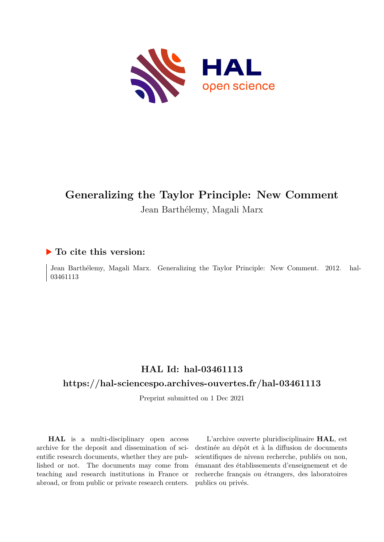

# **Generalizing the Taylor Principle: New Comment**

#### Jean Barthélemy, Magali Marx

#### **To cite this version:**

Jean Barthélemy, Magali Marx. Generalizing the Taylor Principle: New Comment. 2012. hal-03461113

### **HAL Id: hal-03461113**

#### **<https://hal-sciencespo.archives-ouvertes.fr/hal-03461113>**

Preprint submitted on 1 Dec 2021

**HAL** is a multi-disciplinary open access archive for the deposit and dissemination of scientific research documents, whether they are published or not. The documents may come from teaching and research institutions in France or abroad, or from public or private research centers.

L'archive ouverte pluridisciplinaire **HAL**, est destinée au dépôt et à la diffusion de documents scientifiques de niveau recherche, publiés ou non, émanant des établissements d'enseignement et de recherche français ou étrangers, des laboratoires publics ou privés.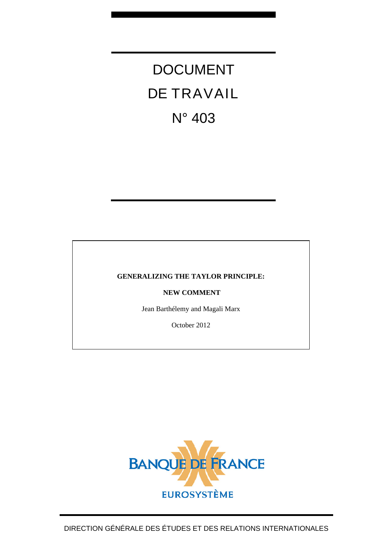DOCUMENT DE TRAVAIL N° 403

#### **GENERALIZING THE TAYLOR PRINCIPLE:**

 **NEW COMMENT** 

Jean Barthélemy and Magali Marx

October 2012

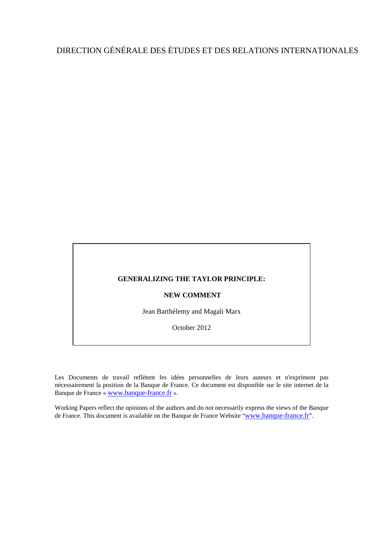### DIRECTION GÉNÉRALE DES ÉTUDES ET DES RELATIONS INTERNATIONALES

#### **GENERALIZING THE TAYLOR PRINCIPLE:**

#### **NEW COMMENT**

Jean Barthélemy and Magali Marx

October 2012

Les Documents de travail reflètent les idées personnelles de leurs auteurs et n'expriment pas nécessairement la position de la Banque de France. Ce document est disponible sur le site internet de la Banque de France « [www.banque-france.fr](http://www.banque-france.fr/) ».

Working Papers reflect the opinions of the authors and do not necessarily express the views of the Banque de France. This document is available on the Banque de France Website "[www.banque-france.fr](http://www.banque-france.fr/)".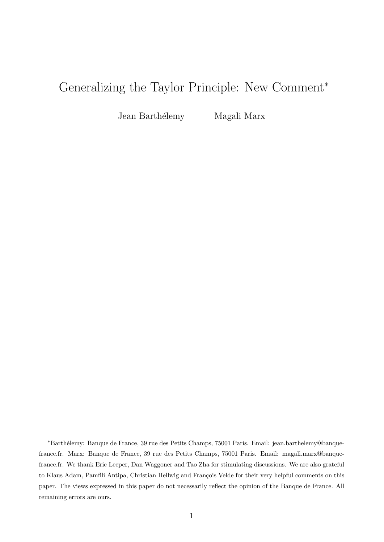## Generalizing the Taylor Principle: New Comment<sup>∗</sup>

Jean Barthélemy Magali Marx

<sup>∗</sup>Barth´elemy: Banque de France, 39 rue des Petits Champs, 75001 Paris. Email: jean.barthelemy@banquefrance.fr. Marx: Banque de France, 39 rue des Petits Champs, 75001 Paris. Email: magali.marx@banquefrance.fr. We thank Eric Leeper, Dan Waggoner and Tao Zha for stimulating discussions. We are also grateful to Klaus Adam, Pamfili Antipa, Christian Hellwig and François Velde for their very helpful comments on this paper. The views expressed in this paper do not necessarily reflect the opinion of the Banque de France. All remaining errors are ours.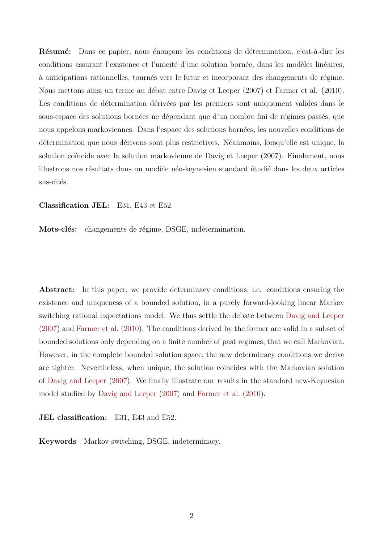Résumé: Dans ce papier, nous énonçons les conditions de détermination, c'est-à-dire les conditions assurant l'existence et l'unicité d'une solution bornée, dans les modèles linéaires,  $\alpha$  anticipations rationnelles, tournés vers le futur et incorporant des changements de régime. Nous mettons ainsi un terme au débat entre Davig et Leeper (2007) et Farmer et al. (2010). Les conditions de détermination dérivées par les premiers sont uniquement valides dans le sous-espace des solutions bornées ne dépendant que d'un nombre fini de régimes passés, que nous appelons markoviennes. Dans l'espace des solutions born´ees, les nouvelles conditions de détermination que nous dérivons sont plus restrictives. Néanmoins, lorsqu'elle est unique, la solution coïncide avec la solution markovienne de Davig et Leeper (2007). Finalement, nous illustrons nos résultats dans un modèle néo-keynesien standard étudié dans les deux articles sus-cités.

#### Classification JEL: E31, E43 et E52.

Mots-clés: changements de régime, DSGE, indétermination.

Abstract: In this paper, we provide determinacy conditions, i.e. conditions ensuring the existence and uniqueness of a bounded solution, in a purely forward-looking linear Markov switching rational expectations model. We thus settle the debate between Davig and Leeper (2007) and Farmer et al. (2010). The conditions derived by the former are valid in a subset of bounded solutions only depending on a finite number of past regimes, that we call Markovian. However, in the complete bounded solution space, the new determinacy conditions we derive are tighter. Nevertheless, when unique, the solution coincides with the Markovian solution of Davig and Leeper (2007). We finally illustrate our results in the standard new-Keynesian model studied by Davig and Leeper (2007) and Farmer et al. (2010).

JEL classification: E31, E43 and E52.

Keywords Markov switching, DSGE, indeterminacy.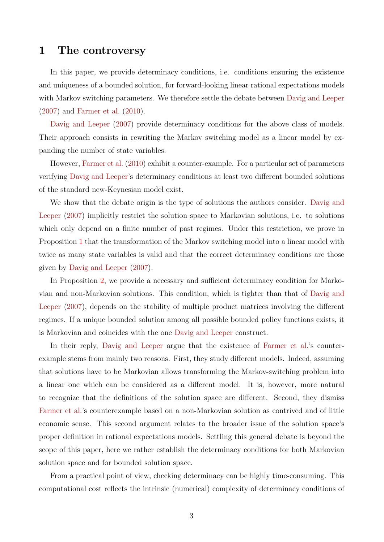#### 1 The controversy

In this paper, we provide determinacy conditions, i.e. conditions ensuring the existence and uniqueness of a bounded solution, for forward-looking linear rational expectations models with Markov switching parameters. We therefore settle the debate between Davig and Leeper (2007) and Farmer et al. (2010).

Davig and Leeper  $(2007)$  provide determinacy conditions for the above class of models. Their approach consists in rewriting the Markov switching model as a linear model by expanding the number of state variables.

However, Farmer et al. (2010) exhibit a counter-example. For a particular set of parameters verifying Davig and Leeper's determinacy conditions at least two different bounded solutions of the standard new-Keynesian model exist.

We show that the debate origin is the type of solutions the authors consider. Davig and Leeper (2007) implicitly restrict the solution space to Markovian solutions, i.e. to solutions which only depend on a finite number of past regimes. Under this restriction, we prove in Proposition 1 that the transformation of the Markov switching model into a linear model with twice as many state variables is valid and that the correct determinacy conditions are those given by Davig and Leeper (2007).

In Proposition 2, we provide a necessary and sufficient determinacy condition for Markovian and non-Markovian solutions. This condition, which is tighter than that of Davig and Leeper (2007), depends on the stability of multiple product matrices involving the different regimes. If a unique bounded solution among all possible bounded policy functions exists, it is Markovian and coincides with the one Davig and Leeper construct.

In their reply, Davig and Leeper argue that the existence of Farmer et al.'s counterexample stems from mainly two reasons. First, they study different models. Indeed, assuming that solutions have to be Markovian allows transforming the Markov-switching problem into a linear one which can be considered as a different model. It is, however, more natural to recognize that the definitions of the solution space are different. Second, they dismiss Farmer et al.'s counterexample based on a non-Markovian solution as contrived and of little economic sense. This second argument relates to the broader issue of the solution space's proper definition in rational expectations models. Settling this general debate is beyond the scope of this paper, here we rather establish the determinacy conditions for both Markovian solution space and for bounded solution space.

From a practical point of view, checking determinacy can be highly time-consuming. This computational cost reflects the intrinsic (numerical) complexity of determinacy conditions of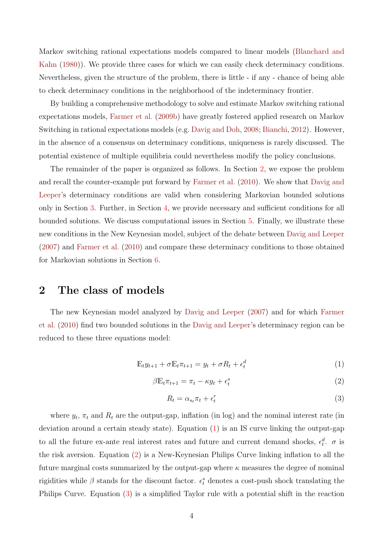Markov switching rational expectations models compared to linear models (Blanchard and Kahn (1980)). We provide three cases for which we can easily check determinacy conditions. Nevertheless, given the structure of the problem, there is little - if any - chance of being able to check determinacy conditions in the neighborhood of the indeterminacy frontier.

By building a comprehensive methodology to solve and estimate Markov switching rational expectations models, Farmer et al. (2009b) have greatly fostered applied research on Markov Switching in rational expectations models (e.g. Davig and Doh, 2008; Bianchi, 2012). However, in the absence of a consensus on determinacy conditions, uniqueness is rarely discussed. The potential existence of multiple equilibria could nevertheless modify the policy conclusions.

The remainder of the paper is organized as follows. In Section 2, we expose the problem and recall the counter-example put forward by Farmer et al. (2010). We show that Davig and Leeper's determinacy conditions are valid when considering Markovian bounded solutions only in Section 3. Further, in Section 4, we provide necessary and sufficient conditions for all bounded solutions. We discuss computational issues in Section 5. Finally, we illustrate these new conditions in the New Keynesian model, subject of the debate between Davig and Leeper (2007) and Farmer et al. (2010) and compare these determinacy conditions to those obtained for Markovian solutions in Section 6.

#### 2 The class of models

The new Keynesian model analyzed by Davig and Leeper (2007) and for which Farmer et al. (2010) find two bounded solutions in the Davig and Leeper's determinacy region can be reduced to these three equations model:

$$
\mathbb{E}_t y_{t+1} + \sigma \mathbb{E}_t \pi_{t+1} = y_t + \sigma R_t + \epsilon_t^d \tag{1}
$$

$$
\beta \mathbb{E}_t \pi_{t+1} = \pi_t - \kappa y_t + \epsilon_t^s \tag{2}
$$

$$
R_t = \alpha_{s_t} \pi_t + \epsilon_t^r \tag{3}
$$

where  $y_t$ ,  $\pi_t$  and  $R_t$  are the output-gap, inflation (in log) and the nominal interest rate (in deviation around a certain steady state). Equation (1) is an IS curve linking the output-gap to all the future ex-ante real interest rates and future and current demand shocks,  $\epsilon_t^d$ .  $\sigma$  is the risk aversion. Equation (2) is a New-Keynesian Philips Curve linking inflation to all the future marginal costs summarized by the output-gap where  $\kappa$  measures the degree of nominal rigidities while  $\beta$  stands for the discount factor.  $\epsilon_t^s$  denotes a cost-push shock translating the Philips Curve. Equation (3) is a simplified Taylor rule with a potential shift in the reaction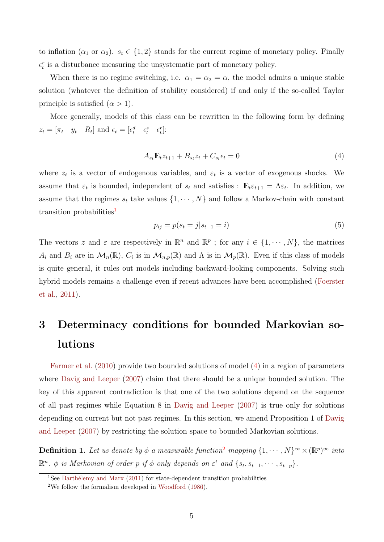to inflation ( $\alpha_1$  or  $\alpha_2$ ).  $s_t \in \{1,2\}$  stands for the current regime of monetary policy. Finally  $\epsilon_t^r$  is a disturbance measuring the unsystematic part of monetary policy.

When there is no regime switching, i.e.  $\alpha_1 = \alpha_2 = \alpha$ , the model admits a unique stable solution (whatever the definition of stability considered) if and only if the so-called Taylor principle is satisfied  $(\alpha > 1)$ .

More generally, models of this class can be rewritten in the following form by defining  $z_t = [\pi_t \quad y_t \quad R_t]$  and  $\epsilon_t = [\epsilon_t^d \quad \epsilon_t^s \quad \epsilon_t^r]$ :

$$
A_{st} \mathbb{E}_t z_{t+1} + B_{st} z_t + C_{st} \epsilon_t = 0 \tag{4}
$$

where  $z_t$  is a vector of endogenous variables, and  $\varepsilon_t$  is a vector of exogenous shocks. We assume that  $\varepsilon_t$  is bounded, independent of  $s_t$  and satisfies :  $\mathbb{E}_t \varepsilon_{t+1} = \Lambda \varepsilon_t$ . In addition, we assume that the regimes  $s_t$  take values  $\{1, \dots, N\}$  and follow a Markov-chain with constant transition probabilities<sup>1</sup>

$$
p_{ij} = p(s_t = j | s_{t-1} = i)
$$
\n(5)

The vectors z and  $\varepsilon$  are respectively in  $\mathbb{R}^n$  and  $\mathbb{R}^p$ ; for any  $i \in \{1, \dots, N\}$ , the matrices  $A_i$  and  $B_i$  are in  $\mathcal{M}_n(\mathbb{R})$ ,  $C_i$  is in  $\mathcal{M}_{n,p}(\mathbb{R})$  and  $\Lambda$  is in  $\mathcal{M}_p(\mathbb{R})$ . Even if this class of models is quite general, it rules out models including backward-looking components. Solving such hybrid models remains a challenge even if recent advances have been accomplished (Foerster et al., 2011).

# 3 Determinacy conditions for bounded Markovian solutions

Farmer et al. (2010) provide two bounded solutions of model (4) in a region of parameters where Davig and Leeper (2007) claim that there should be a unique bounded solution. The key of this apparent contradiction is that one of the two solutions depend on the sequence of all past regimes while Equation 8 in Davig and Leeper (2007) is true only for solutions depending on current but not past regimes. In this section, we amend Proposition 1 of Davig and Leeper (2007) by restricting the solution space to bounded Markovian solutions.

**Definition 1.** Let us denote by  $\phi$  a measurable function<sup>2</sup> mapping  $\{1, \dots, N\}^{\infty} \times (\mathbb{R}^p)^{\infty}$  into  $\mathbb{R}^n$ .  $\phi$  is Markovian of order p if  $\phi$  only depends on  $\varepsilon^t$  and  $\{s_t, s_{t-1}, \cdots, s_{t-p}\}.$ 

<sup>&</sup>lt;sup>1</sup>See Barthélemy and Marx (2011) for state-dependent transition probabilities

<sup>2</sup>We follow the formalism developed in Woodford (1986).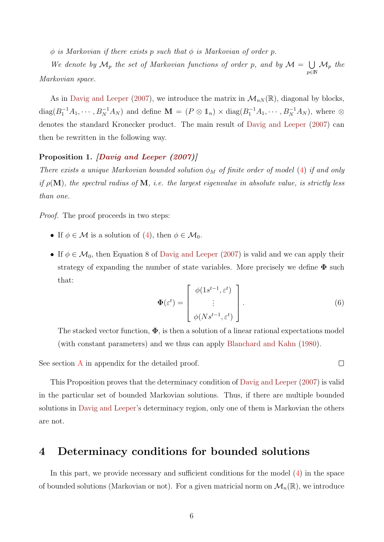$\phi$  is Markovian if there exists p such that  $\phi$  is Markovian of order p.

We denote by  $\mathcal{M}_p$  the set of Markovian functions of order p, and by  $\mathcal{M} = \bigcup$  $p\bar{\in} \mathbb{N}$  $\mathcal{M}_p$  the Markovian space.

As in Davig and Leeper (2007), we introduce the matrix in  $\mathcal{M}_{n,N}(\mathbb{R})$ , diagonal by blocks,  $diag(B_1^{-1}A_1,\cdots,B_N^{-1}A_N)$  and define  $\mathbf{M} = (P \otimes \mathbb{1}_n) \times diag(B_1^{-1}A_1,\cdots,B_N^{-1}A_N)$ , where  $\otimes$ denotes the standard Kronecker product. The main result of Davig and Leeper (2007) can then be rewritten in the following way.

#### Proposition 1. *Davig and Leeper (2007)*

There exists a unique Markovian bounded solution  $\phi_M$  of finite order of model (4) if and only if  $\rho(\mathbf{M})$ , the spectral radius of **M**, i.e. the largest eigenvalue in absolute value, is strictly less than one.

Proof. The proof proceeds in two steps:

- If  $\phi \in \mathcal{M}$  is a solution of (4), then  $\phi \in \mathcal{M}_0$ .
- If  $\phi \in \mathcal{M}_0$ , then Equation 8 of Davig and Leeper (2007) is valid and we can apply their strategy of expanding the number of state variables. More precisely we define  $\Phi$  such that:

$$
\Phi(\varepsilon^t) = \begin{bmatrix} \phi(1s^{t-1}, \varepsilon^t) \\ \vdots \\ \phi(Ns^{t-1}, \varepsilon^t) \end{bmatrix} .
$$
 (6)

 $\Box$ 

The stacked vector function,  $\Phi$ , is then a solution of a linear rational expectations model (with constant parameters) and we thus can apply Blanchard and Kahn (1980).

See section  $\bf{A}$  in appendix for the detailed proof.

This Proposition proves that the determinacy condition of Davig and Leeper (2007) is valid in the particular set of bounded Markovian solutions. Thus, if there are multiple bounded solutions in Davig and Leeper's determinacy region, only one of them is Markovian the others are not.

#### 4 Determinacy conditions for bounded solutions

In this part, we provide necessary and sufficient conditions for the model (4) in the space of bounded solutions (Markovian or not). For a given matricial norm on  $\mathcal{M}_n(\mathbb{R})$ , we introduce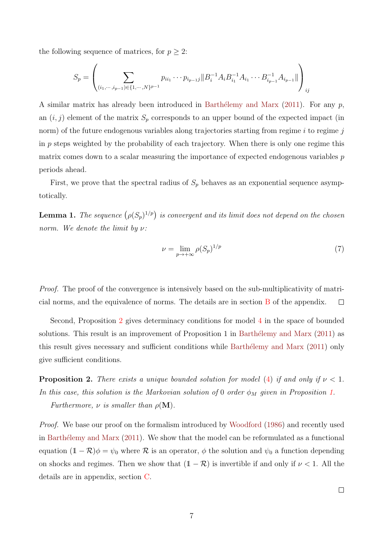the following sequence of matrices, for  $p \geq 2$ :

$$
S_p = \left( \sum_{(i_1, \dots, i_{p-1}) \in \{1, \dots, N\}^{p-1}} p_{ii_1} \cdots p_{i_{p-1}j} || B_i^{-1} A_i B_{i_1}^{-1} A_{i_1} \cdots B_{i_{p-1}}^{-1} A_{i_{p-1}} || \right)_{ij}
$$

A similar matrix has already been introduced in Barthélemy and Marx (2011). For any  $p$ , an  $(i, j)$  element of the matrix  $S_p$  corresponds to an upper bound of the expected impact (in norm) of the future endogenous variables along trajectories starting from regime  $i$  to regime  $j$ in p steps weighted by the probability of each trajectory. When there is only one regime this matrix comes down to a scalar measuring the importance of expected endogenous variables p periods ahead.

First, we prove that the spectral radius of  $S_p$  behaves as an exponential sequence asymptotically.

**Lemma 1.** The sequence  $(\rho(S_p)^{1/p})$  is convergent and its limit does not depend on the chosen norm. We denote the limit by  $\nu$ :

$$
\nu = \lim_{p \to +\infty} \rho(S_p)^{1/p} \tag{7}
$$

Proof. The proof of the convergence is intensively based on the sub-multiplicativity of matricial norms, and the equivalence of norms. The details are in section B of the appendix.  $\Box$ 

Second, Proposition 2 gives determinacy conditions for model 4 in the space of bounded solutions. This result is an improvement of Proposition 1 in Barthélemy and Marx  $(2011)$  as this result gives necessary and sufficient conditions while Barthélemy and Marx (2011) only give sufficient conditions.

**Proposition 2.** There exists a unique bounded solution for model (4) if and only if  $\nu < 1$ . In this case, this solution is the Markovian solution of 0 order  $\phi_M$  given in Proposition 1.

Furthermore,  $\nu$  is smaller than  $\rho(\mathbf{M})$ .

Proof. We base our proof on the formalism introduced by Woodford (1986) and recently used in Barthélemy and Marx  $(2011)$ . We show that the model can be reformulated as a functional equation  $(1 - \mathcal{R})\phi = \psi_0$  where  $\mathcal R$  is an operator,  $\phi$  the solution and  $\psi_0$  a function depending on shocks and regimes. Then we show that  $(1 - \mathcal{R})$  is invertible if and only if  $\nu < 1$ . All the details are in appendix, section C.

 $\Box$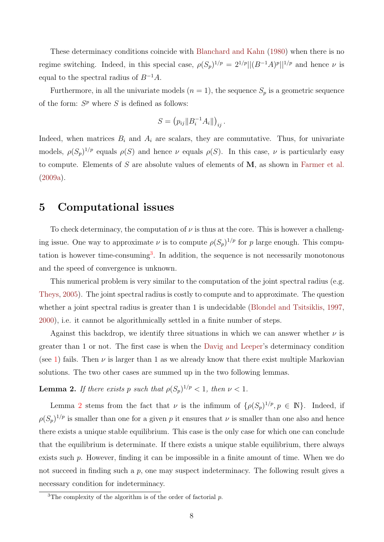These determinacy conditions coincide with Blanchard and Kahn (1980) when there is no regime switching. Indeed, in this special case,  $\rho(S_p)^{1/p} = 2^{1/p} ||(B^{-1}A)^p||^{1/p}$  and hence  $\nu$  is equal to the spectral radius of  $B^{-1}A$ .

Furthermore, in all the univariate models  $(n = 1)$ , the sequence  $S_p$  is a geometric sequence of the form:  $S^p$  where S is defined as follows:

$$
S = (p_{ij} || B_i^{-1} A_i ||)_{ij}.
$$

Indeed, when matrices  $B_i$  and  $A_i$  are scalars, they are commutative. Thus, for univariate models,  $\rho(S_p)^{1/p}$  equals  $\rho(S)$  and hence  $\nu$  equals  $\rho(S)$ . In this case,  $\nu$  is particularly easy to compute. Elements of S are absolute values of elements of  $M$ , as shown in Farmer et al. (2009a).

#### 5 Computational issues

To check determinacy, the computation of  $\nu$  is thus at the core. This is however a challenging issue. One way to approximate  $\nu$  is to compute  $\rho(S_p)^{1/p}$  for p large enough. This computation is however time-consuming<sup>3</sup>. In addition, the sequence is not necessarily monotonous and the speed of convergence is unknown.

This numerical problem is very similar to the computation of the joint spectral radius (e.g. Theys, 2005). The joint spectral radius is costly to compute and to approximate. The question whether a joint spectral radius is greater than 1 is undecidable (Blondel and Tsitsiklis, 1997, 2000), i.e. it cannot be algorithmically settled in a finite number of steps.

Against this backdrop, we identify three situations in which we can answer whether  $\nu$  is greater than 1 or not. The first case is when the Davig and Leeper's determinacy condition (see 1) fails. Then  $\nu$  is larger than 1 as we already know that there exist multiple Markovian solutions. The two other cases are summed up in the two following lemmas.

**Lemma 2.** If there exists p such that  $\rho(S_p)^{1/p} < 1$ , then  $\nu < 1$ .

Lemma 2 stems from the fact that  $\nu$  is the infimum of  $\{\rho(S_p)^{1/p}, p \in \mathbb{N}\}\$ . Indeed, if  $\rho(S_p)^{1/p}$  is smaller than one for a given p it ensures that  $\nu$  is smaller than one also and hence there exists a unique stable equilibrium. This case is the only case for which one can conclude that the equilibrium is determinate. If there exists a unique stable equilibrium, there always exists such p. However, finding it can be impossible in a finite amount of time. When we do not succeed in finding such a  $p$ , one may suspect indeterminacy. The following result gives a necessary condition for indeterminacy.

<sup>&</sup>lt;sup>3</sup>The complexity of the algorithm is of the order of factorial  $p$ .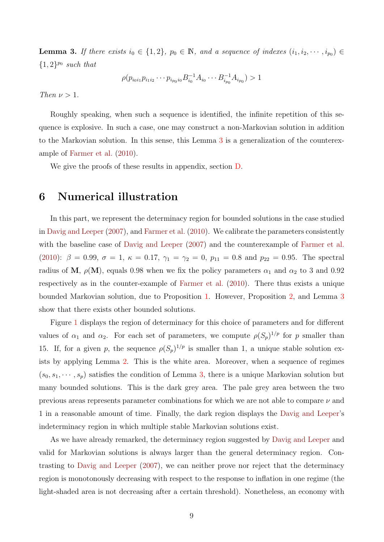**Lemma 3.** If there exists  $i_0 \in \{1, 2\}$ ,  $p_0 \in \mathbb{N}$ , and a sequence of indexes  $(i_1, i_2, \dots, i_{p_0}) \in$  $\{1,2\}^{p_0}$  such that

$$
\rho(p_{i_0i_1}p_{i_1i_2}\cdots p_{i_{p_0}i_0}B_{i_0}^{-1}A_{i_0}\cdots B_{i_{p_0}}^{-1}A_{i_{p_0}})>1
$$

Then  $\nu > 1$ .

Roughly speaking, when such a sequence is identified, the infinite repetition of this sequence is explosive. In such a case, one may construct a non-Markovian solution in addition to the Markovian solution. In this sense, this Lemma 3 is a generalization of the counterexample of Farmer et al. (2010).

We give the proofs of these results in appendix, section D.

#### 6 Numerical illustration

In this part, we represent the determinacy region for bounded solutions in the case studied in Davig and Leeper (2007), and Farmer et al. (2010). We calibrate the parameters consistently with the baseline case of Davig and Leeper (2007) and the counterexample of Farmer et al. (2010):  $\beta = 0.99, \sigma = 1, \kappa = 0.17, \gamma_1 = \gamma_2 = 0, p_{11} = 0.8$  and  $p_{22} = 0.95$ . The spectral radius of M,  $\rho(M)$ , equals 0.98 when we fix the policy parameters  $\alpha_1$  and  $\alpha_2$  to 3 and 0.92 respectively as in the counter-example of Farmer et al. (2010). There thus exists a unique bounded Markovian solution, due to Proposition 1. However, Proposition 2, and Lemma 3 show that there exists other bounded solutions.

Figure 1 displays the region of determinacy for this choice of parameters and for different values of  $\alpha_1$  and  $\alpha_2$ . For each set of parameters, we compute  $\rho(S_p)^{1/p}$  for p smaller than 15. If, for a given p, the sequence  $\rho(S_p)^{1/p}$  is smaller than 1, a unique stable solution exists by applying Lemma 2. This is the white area. Moreover, when a sequence of regimes  $(s_0, s_1, \dots, s_p)$  satisfies the condition of Lemma 3, there is a unique Markovian solution but many bounded solutions. This is the dark grey area. The pale grey area between the two previous areas represents parameter combinations for which we are not able to compare  $\nu$  and 1 in a reasonable amount of time. Finally, the dark region displays the Davig and Leeper's indeterminacy region in which multiple stable Markovian solutions exist.

As we have already remarked, the determinacy region suggested by Davig and Leeper and valid for Markovian solutions is always larger than the general determinacy region. Contrasting to Davig and Leeper (2007), we can neither prove nor reject that the determinacy region is monotonously decreasing with respect to the response to inflation in one regime (the light-shaded area is not decreasing after a certain threshold). Nonetheless, an economy with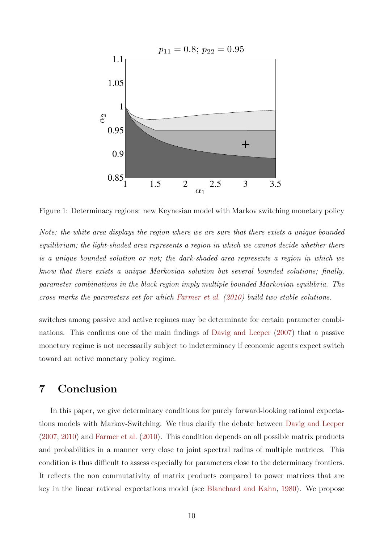

Figure 1: Determinacy regions: new Keynesian model with Markov switching monetary policy

Note: the white area displays the region where we are sure that there exists a unique bounded equilibrium; the light-shaded area represents a region in which we cannot decide whether there is a unique bounded solution or not; the dark-shaded area represents a region in which we know that there exists a unique Markovian solution but several bounded solutions; finally, parameter combinations in the black region imply multiple bounded Markovian equilibria. The cross marks the parameters set for which Farmer et al. (2010) build two stable solutions.

switches among passive and active regimes may be determinate for certain parameter combinations. This confirms one of the main findings of Davig and Leeper (2007) that a passive monetary regime is not necessarily subject to indeterminacy if economic agents expect switch toward an active monetary policy regime.

#### 7 Conclusion

In this paper, we give determinacy conditions for purely forward-looking rational expectations models with Markov-Switching. We thus clarify the debate between Davig and Leeper (2007, 2010) and Farmer et al. (2010). This condition depends on all possible matrix products and probabilities in a manner very close to joint spectral radius of multiple matrices. This condition is thus difficult to assess especially for parameters close to the determinacy frontiers. It reflects the non commutativity of matrix products compared to power matrices that are key in the linear rational expectations model (see Blanchard and Kahn, 1980). We propose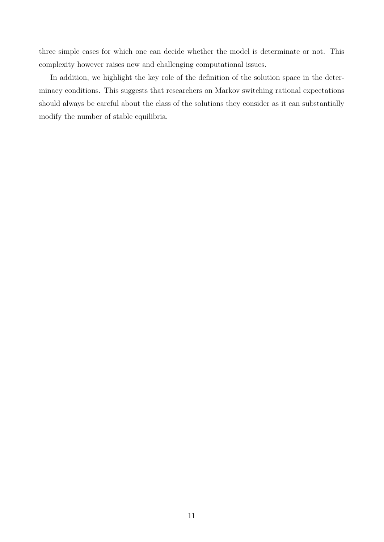three simple cases for which one can decide whether the model is determinate or not. This complexity however raises new and challenging computational issues.

In addition, we highlight the key role of the definition of the solution space in the determinacy conditions. This suggests that researchers on Markov switching rational expectations should always be careful about the class of the solutions they consider as it can substantially modify the number of stable equilibria.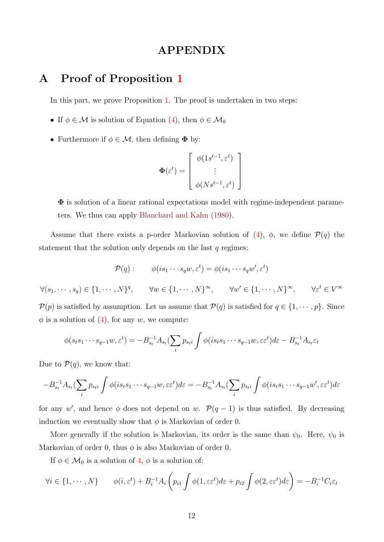### APPENDIX

#### A Proof of Proposition 1

In this part, we prove Proposition 1. The proof is undertaken in two steps:

- If  $\phi \in \mathcal{M}$  is solution of Equation (4), then  $\phi \in \mathcal{M}_0$
- Furthermore if  $\phi \in \mathcal{M}$ , then defining  $\Phi$  by:

$$
\Phi(\varepsilon^t) = \left[ \begin{array}{c} \phi(1s^{t-1}, \varepsilon^t) \\ \vdots \\ \phi(Ns^{t-1}, \varepsilon^t) \end{array} \right]
$$

Φ is solution of a linear rational expectations model with regime-independent parameters. We thus can apply Blanchard and Kahn (1980).

Assume that there exists a p-order Markovian solution of  $(4)$ ,  $\phi$ , we define  $\mathcal{P}(q)$  the statement that the solution only depends on the last  $q$  regimes:

$$
\mathcal{P}(q): \qquad \phi(is_1\cdots s_qw, \varepsilon^t) = \phi(is_1\cdots s_qw', \varepsilon^t)
$$

$$
\forall (s_1, \cdots, s_q) \in \{1, \cdots, N\}^q, \qquad \forall w \in \{1, \cdots, N\}^\infty, \qquad \forall w' \in \{1, \cdots, N\}^\infty, \qquad \forall \varepsilon^t \in V^\infty
$$

 $P(p)$  is satisfied by assumption. Let us assume that  $P(q)$  is satisfied for  $q \in \{1, \dots, p\}$ . Since  $\phi$  is a solution of (4), for any w, we compute:

$$
\phi(s_ts_1\cdots s_{q-1}w,\varepsilon^t)=-B_{s_t}^{-1}A_{s_t}(\sum_i p_{s_t} \int \phi(is_ts_1\cdots s_{q-1}w,\varepsilon\varepsilon^t)d\varepsilon-B_{s_t}^{-1}A_{s_t}\varepsilon_t
$$

Due to  $P(q)$ , we know that:

$$
-B_{s_t}^{-1}A_{s_t}(\sum_i p_{s_t i} \int \phi(is_t s_1 \cdots s_{q-1} w, \varepsilon \varepsilon^t) d\varepsilon = -B_{s_t}^{-1}A_{s_t}(\sum_i p_{s_t i} \int \phi(is_t s_1 \cdots s_{q-1} w', \varepsilon \varepsilon^t) d\varepsilon
$$

for any w', and hence  $\phi$  does not depend on w.  $\mathcal{P}(q-1)$  is thus satisfied. By decreasing induction we eventually show that  $\phi$  is Markovian of order 0.

More generally if the solution is Markovian, its order is the same than  $\psi_0$ . Here,  $\psi_0$  is Markovian of order 0, thus  $\phi$  is also Markovian of order 0.

If  $\phi \in \mathcal{M}_0$  is a solution of 4,  $\phi$  is a solution of:

$$
\forall i \in \{1, \cdots, N\} \qquad \phi(i, \varepsilon^t) + B_i^{-1} A_i \left( p_{i1} \int \phi(1, \varepsilon \varepsilon^t) d\varepsilon + p_{i2} \int \phi(2, \varepsilon \varepsilon^t) d\varepsilon \right) = -B_i^{-1} C_i \varepsilon_t
$$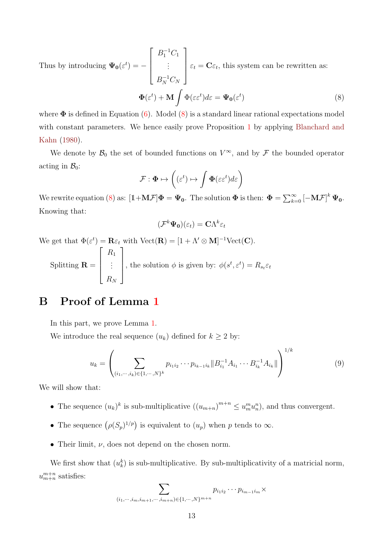Thus by introducing  $\Psi_0(\varepsilon^t) = \sqrt{ }$  $\Big\}$  $B_1^{-1}C_1$ . . .  $B_N^{-1}C_N$ 1  $\Bigg\}$  $\varepsilon_t = \mathbf{C}\varepsilon_t$ , this system can be rewritten as:  $\mathbf{\Phi}(\varepsilon^t)+\mathbf{M}\,\int \Phi(\varepsilon\varepsilon^t)d\varepsilon=\mathbf{\Psi_0}(\varepsilon)$ t

$$
\Phi(\varepsilon^t) + \mathbf{M} \int \Phi(\varepsilon \varepsilon^t) d\varepsilon = \Psi_0(\varepsilon^t)
$$
(8)  
efined in Equation (6). Model (8) is a standard linear rational expectations model

where  $\boldsymbol{\Phi}$  is de with constant parameters. We hence easily prove Proposition 1 by applying Blanchard and Kahn (1980).

We denote by  $\mathcal{B}_0$  the set of bounded functions on  $V^{\infty}$ , and by  $\mathcal F$  the bounded operator acting in  $\mathcal{B}_0$ :

$$
\mathcal{F}: \Phi \mapsto \left( (\varepsilon^t) \mapsto \int \Phi(\varepsilon \varepsilon^t) d\varepsilon \right)
$$

We rewrite equation (8) as:  $[\mathbb{1} + M \mathcal{F}] \Phi = \Psi_0$ . The solution  $\Phi$  is then:  $\Phi = \sum_{k=0}^{\infty} [-M \mathcal{F}]^k \Psi_0$ . Knowing that:

$$
(\mathcal{F}^k \Psi_0)(\varepsilon_t) = \mathbf{C} \Lambda^k \varepsilon_t
$$

We get that  $\Phi(\varepsilon^t) = \mathbf{R}\varepsilon_t$  with  $\text{Vect}(\mathbf{R}) = [1 + \Lambda' \otimes \mathbf{M}]^{-1} \text{Vect}(\mathbf{C}).$ Splitting  $\mathbf{R} =$  $\sqrt{ }$  $\Bigg\}$  $R_1$ . . .  $R_N$ 1 , the solution  $\phi$  is given by:  $\phi(s^t, \varepsilon^t) = R_{s_t} \varepsilon_t$ 

### B Proof of Lemma 1

In this part, we prove Lemma 1.

We introduce the real sequence  $(u_k)$  defined for  $k \geq 2$  by:

$$
u_k = \left(\sum_{(i_1,\dots,i_k)\in\{1,\dots,N\}^k} p_{i_1i_2}\cdots p_{i_{k-1}i_k} \|B_{i_1}^{-1}A_{i_1}\cdots B_{i_k}^{-1}A_{i_k}\|\right)^{1/k}
$$
(9)

We will show that:

- The sequence  $(u_k)^k$  is sub-multiplicative  $((u_{m+n})^{m+n} \leq u_m^m u_n^n)$ , and thus convergent.
- The sequence  $(\rho(S_p)^{1/p})$  is equivalent to  $(u_p)$  when p tends to  $\infty$ .
- Their limit,  $\nu$ , does not depend on the chosen norm.

We first show that  $(u_k^k)$  is sub-multiplicative. By sub-multiplicativity of a matricial norm,  $u_{m+n}^{m+n}$  satisfies:

$$
\sum_{(i_1,\dots,i_m,i_{m+1},\dots,i_{m+n})\in\{1,\dots,N\}^{m+n}} p_{i_1i_2}\cdots p_{i_{m-1}i_m}\times
$$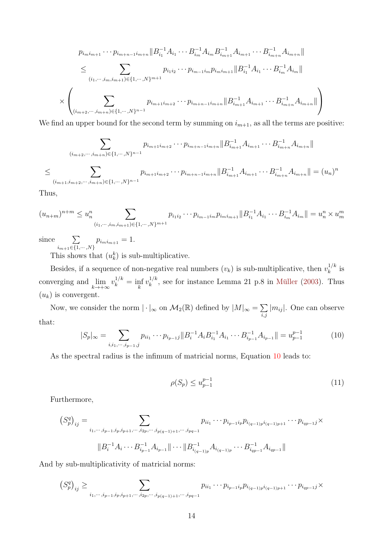$$
p_{i_{m}i_{m+1}} \cdots p_{i_{m+n-1}i_{m+n}} \| B_{i_{1}}^{-1} A_{i_{1}} \cdots B_{i_{m}}^{-1} A_{i_{m}B_{i_{m+1}}^{-1}} A_{i_{m+1}} \cdots B_{i_{m+n}}^{-1} A_{i_{m+n}} \|
$$
  
\n
$$
\leq \sum_{(i_{1}, \cdots, i_{m}, i_{m+1}) \in \{1, \cdots, N\}^{m+1}} p_{i_{1}i_{2}} \cdots p_{i_{m-1}i_{m}} p_{i_{m}i_{m+1}} \| B_{i_{1}}^{-1} A_{i_{1}} \cdots B_{i_{m}}^{-1} A_{i_{m}} \|
$$
  
\n
$$
\times \left( \sum_{(i_{m+2}, \cdots, i_{m+n}) \in \{1, \cdots, N\}^{n-1}} p_{i_{m+1}i_{m+2}} \cdots p_{i_{m+n-1}i_{m+n}} \| B_{i_{m+1}}^{-1} A_{i_{m+1}} \cdots B_{i_{m+n}}^{-1} A_{i_{m+n}} \| \right)
$$

We find an upper bound for the second term by summing on  $i_{m+1}$ , as all the terms are positive:

$$
\sum_{(i_{m+2},\dots,i_{m+n})\in\{1,\dots,N\}^{n-1}} p_{i_{m+1}i_{m+2}}\cdots p_{i_{m+n-1}i_{m+n}} \|B_{i_{m+1}}^{-1}A_{i_{m+1}}\cdots B_{i_{m+n}}^{-1}A_{i_{m+n}}\|
$$
  

$$
\leq \sum_{(i_{m+1},i_{m+2},\dots,i_{m+n})\in\{1,\dots,N\}^{n-1}} p_{i_{m+1}i_{m+2}}\cdots p_{i_{m+n-1}i_{m+n}} \|B_{i_{m+1}}^{-1}A_{i_{m+1}}\cdots B_{i_{m+n}}^{-1}A_{i_{m+n}}\| = (u_n)^n
$$

Thus,

$$
(u_{n+m})^{n+m} \leq u_n^n \sum_{(i_1,\dots,i_m,i_{m+1})\in\{1,\dots,N\}^{m+1}} p_{i_1i_2}\cdots p_{i_{m-1}i_m} p_{i_mi_{m+1}} \|B_{i_1}^{-1}A_{i_1}\cdots B_{i_m}^{-1}A_{i_m}\| = u_n^n \times u_m^m
$$

since

$$
\sum_{i_{m+1}\in\{1,\cdots,N\}} p_{i_{m}i_{m+1}} = 1.
$$

This shows that  $(u_k^k)$  is sub-multiplicative.

Besides, if a sequence of non-negative real numbers  $(v_k)$  is sub-multiplicative, then  $v_k^{1/k}$  $k^{1/\kappa}$  is converging and  $\lim_{k \to +\infty} v_k^{1/k} = \inf_k v_k^{1/k}$  $k_k^{1/k}$ , see for instance Lemma 21 p.8 in Müller (2003). Thus  $(u_k)$  is convergent.

Now, we consider the norm  $|\cdot|_{\infty}$  on  $\mathcal{M}_2(\mathbb{R})$  defined by  $|M|_{\infty} = \sum$ i,j  $|m_{ij}|$ . One can observe that:

$$
|S_p|_{\infty} = \sum_{i,i_1,\dots,i_{p-1},j} p_{ii_1} \cdots p_{i_{p-1}j} ||B_i^{-1} A_i B_{i_1}^{-1} A_{i_1} \cdots B_{i_{p-1}}^{-1} A_{i_{p-1}}|| = u_{p-1}^{p-1}
$$
(10)

As the spectral radius is the infimum of matricial norms, Equation 10 leads to:

$$
\rho(S_p) \le u_{p-1}^{p-1} \tag{11}
$$

Furthermore,

$$
(S_p^q)_{ij} = \sum_{i_1, \dots, i_{p-1}, i_p, i_{p+1}, \dots, i_{2p}, \dots, i_{p(q-1)+1}, \dots, i_{pq-1}} p_{i_{i_1}} \dots p_{i_{p-1}i_p} p_{i_{(q-1)p}i_{(q-1)p+1}} \dots p_{i_{qp-1}j} \times
$$
  

$$
||B_i^{-1} A_i \dots B_{i_{p-1}}^{-1} A_{i_{p-1}} || \dots ||B_{i_{(q-1)p}}^{-1} A_{i_{(q-1)p}} \dots B_{i_{qp-1}}^{-1} A_{i_{qp-1}} ||
$$

And by sub-multiplicativity of matricial norms:

$$
(S_p^q)_{ij} \geq \sum_{i_1, \dots, i_{p-1}, i_p, i_{p+1}, \dots, i_{2p}, \dots, i_{p(q-1)+1}, \dots, i_{pq-1}} p_{ii_1} \dots p_{i_{p-1}i_p} p_{i_{(q-1)p}i_{(q-1)p+1}} \dots p_{i_{qp-1}j} \times
$$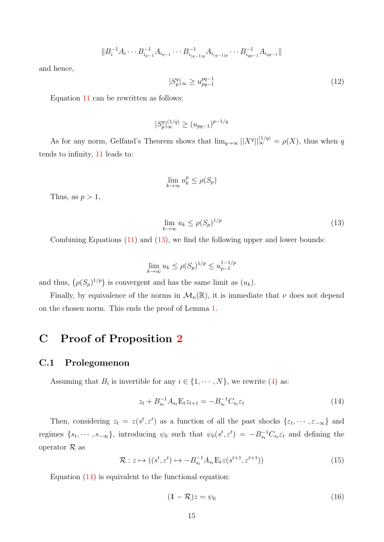$$
||B_i^{-1}A_i\cdots B_{i_{p-1}}^{-1}A_{i_{p-1}}\cdots B_{i_{(q-1)p}}^{-1}A_{i_{(q-1)p}}\cdots B_{i_{qp-1}}^{-1}A_{i_{qp-1}}||
$$

and hence,

$$
|S_p^q|_{\infty} \ge u_{pq-1}^{pq-1} \tag{12}
$$

Equation 11 can be rewritten as follows:

$$
|S_p^q|_\infty^{(1/q)} \ge (u_{pq-1})^{p-1/q}
$$

As for any norm, Gelfand's Theorem shows that  $\lim_{q\to\infty}||X^q||_{\infty}^{(1/q)} = \rho(X)$ , thus when q tends to infinity, 11 leads to:

$$
\lim_{k \to \infty} u_k^p \le \rho(S_p)
$$

Thus, as  $p > 1$ ,

$$
\lim_{k \to \infty} u_k \le \rho(S_p)^{1/p} \tag{13}
$$

Combining Equations (11) and (13), we find the following upper and lower bounds:

$$
\lim_{k \to \infty} u_k \le \rho(S_p)^{1/p} \le u_{p-1}^{1-1/p}
$$

and thus,  $(\rho(S_p)^{1/p})$  is convergent and has the same limit as  $(u_k)$ .

Finally, by equivalence of the norms in  $\mathcal{M}_n(\mathbb{R})$ , it is immediate that  $\nu$  does not depend on the chosen norm. This ends the proof of Lemma 1.

### C Proof of Proposition 2

#### C.1 Prolegomenon

Assuming that  $B_i$  is invertible for any  $i \in \{1, \dots, N\}$ , we rewrite (4) as:

$$
z_t + B_{s_t}^{-1} A_{s_t} \mathbb{E}_t z_{t+1} = -B_{s_t}^{-1} C_{s_t} \varepsilon_t \tag{14}
$$

Then, considering  $z_t = z(s^t, \varepsilon^t)$  as a function of all the past shocks  $\{\varepsilon_t, \dots, \varepsilon_{-\infty}\}$  and regimes  $\{s_t, \dots, s_{-\infty}\}\$ , introducing  $\psi_0$  such that  $\psi_0(s^t, \varepsilon^t) = -B_{s_t}^{-1}C_{s_t}\varepsilon_t$  and defining the operator  $\mathcal R$  as

$$
\mathcal{R}: z \mapsto ((s^t, \varepsilon^t) \mapsto -B_{st}^{-1} A_{st} \mathbb{E}_t z(s^{t+1}, \varepsilon^{t+1}))
$$
\n
$$
(15)
$$

Equation (14) is equivalent to the functional equation:

$$
(1 - \mathcal{R})z = \psi_0 \tag{16}
$$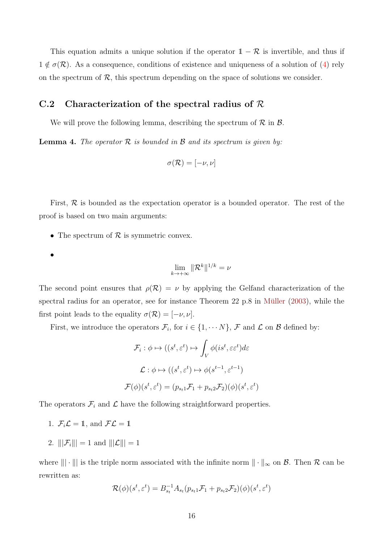This equation admits a unique solution if the operator  $1 - \mathcal{R}$  is invertible, and thus if  $1 \notin \sigma(\mathcal{R})$ . As a consequence, conditions of existence and uniqueness of a solution of (4) rely on the spectrum of  $R$ , this spectrum depending on the space of solutions we consider.

#### C.2 Characterization of the spectral radius of  $R$

We will prove the following lemma, describing the spectrum of  $\mathcal R$  in  $\mathcal B$ .

**Lemma 4.** The operator  $\mathcal{R}$  is bounded in  $\mathcal{B}$  and its spectrum is given by:

$$
\sigma(\mathcal{R}) = [-\nu, \nu]
$$

First,  $\mathcal R$  is bounded as the expectation operator is a bounded operator. The rest of the proof is based on two main arguments:

- The spectrum of  $R$  is symmetric convex.
- •

$$
\lim_{k \to +\infty} \|\mathcal{R}^k\|^{1/k} = \nu
$$

The second point ensures that  $\rho(\mathcal{R}) = \nu$  by applying the Gelfand characterization of the spectral radius for an operator, see for instance Theorem 22 p.8 in Müller  $(2003)$ , while the first point leads to the equality  $\sigma(\mathcal{R}) = [-\nu, \nu].$ 

First, we introduce the operators  $\mathcal{F}_i$ , for  $i \in \{1, \cdots N\}$ ,  $\mathcal{F}$  and  $\mathcal{L}$  on  $\mathcal{B}$  defined by:

$$
\mathcal{F}_i : \phi \mapsto ((s^t, \varepsilon^t) \mapsto \int_V \phi(is^t, \varepsilon \varepsilon^t) d\varepsilon
$$

$$
\mathcal{L} : \phi \mapsto ((s^t, \varepsilon^t) \mapsto \phi(s^{t-1}, \varepsilon^{t-1})
$$

$$
\mathcal{F}(\phi)(s^t, \varepsilon^t) = (p_{s_t 1} \mathcal{F}_1 + p_{s_t 2} \mathcal{F}_2)(\phi)(s^t, \varepsilon^t)
$$

The operators  $\mathcal{F}_i$  and  $\mathcal{L}$  have the following straightforward properties.

- 1.  $\mathcal{F}_i \mathcal{L} = \mathbb{1}$ , and  $\mathcal{F} \mathcal{L} = \mathbb{1}$
- 2.  $|||\mathcal{F}_i||| = 1$  and  $|||\mathcal{L}||| = 1$

where  $\|\cdot\|$  is the triple norm associated with the infinite norm  $\|\cdot\|_{\infty}$  on  $\mathcal{B}$ . Then  $\mathcal{R}$  can be rewritten as:

$$
\mathcal{R}(\phi)(s^t, \varepsilon^t) = B_{s_t}^{-1} A_{s_t}(p_{s_t} \mathcal{F}_1 + p_{s_t} \mathcal{F}_2)(\phi)(s^t, \varepsilon^t)
$$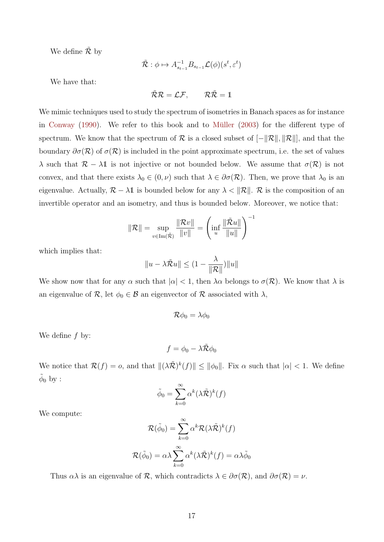We define  $\mathcal{\tilde{R}}$  by

$$
\tilde{\mathcal{R}}: \phi \mapsto A_{s_{t-1}}^{-1} B_{s_{t-1}} \mathcal{L}(\phi)(s^t, \varepsilon^t)
$$

We have that:

$$
\tilde{\mathcal{R}}\mathcal{R}=\mathcal{L}\mathcal{F},\qquad \mathcal{R}\tilde{\mathcal{R}}=1
$$

We mimic techniques used to study the spectrum of isometries in Banach spaces as for instance in Conway  $(1990)$ . We refer to this book and to Müller  $(2003)$  for the different type of spectrum. We know that the spectrum of R is a closed subset of  $[-\Vert \mathcal{R} \Vert, \Vert \mathcal{R} \Vert]$ , and that the boundary  $\partial \sigma(\mathcal{R})$  of  $\sigma(\mathcal{R})$  is included in the point approximate spectrum, i.e. the set of values  $\lambda$  such that  $\mathcal{R} - \lambda \mathbb{1}$  is not injective or not bounded below. We assume that  $\sigma(\mathcal{R})$  is not convex, and that there exists  $\lambda_0 \in (0, \nu)$  such that  $\lambda \in \partial \sigma(\mathcal{R})$ . Then, we prove that  $\lambda_0$  is an eigenvalue. Actually,  $\mathcal{R} - \lambda \mathbb{1}$  is bounded below for any  $\lambda < ||\mathcal{R}||$ . R is the composition of an invertible operator and an isometry, and thus is bounded below. Moreover, we notice that:

$$
\|\mathcal{R}\| = \sup_{v \in \text{Im}(\tilde{\mathcal{R}})} \frac{\|\mathcal{R}v\|}{\|v\|} = \left(\inf_{u} \frac{\|\tilde{\mathcal{R}}u\|}{\|u\|}\right)^{-1}
$$

which implies that:

$$
||u - \lambda \tilde{\mathcal{R}}u|| \leq (1 - \frac{\lambda}{\|\mathcal{R}\|})||u||
$$

We show now that for any  $\alpha$  such that  $|\alpha| < 1$ , then  $\lambda \alpha$  belongs to  $\sigma(\mathcal{R})$ . We know that  $\lambda$  is an eigenvalue of  $\mathcal{R}$ , let  $\phi_0 \in \mathcal{B}$  an eigenvector of  $\mathcal{R}$  associated with  $\lambda$ ,

$$
\mathcal{R}\phi_0=\lambda\phi_0
$$

We define  $f$  by:

$$
f = \phi_0 - \lambda \tilde{\mathcal{R}} \phi_0
$$

We notice that  $\mathcal{R}(f) = o$ , and that  $\|(\lambda \tilde{\mathcal{R}})^k(f)\| \leq \|\phi_0\|$ . Fix  $\alpha$  such that  $|\alpha| < 1$ . We define  $\tilde{\phi}_0$  by :

$$
\tilde{\phi}_0 = \sum_{k=0}^{\infty} \alpha^k (\lambda \tilde{\mathcal{R}})^k (f)
$$

We compute:

$$
\mathcal{R}(\tilde{\phi}_0) = \sum_{k=0}^{\infty} \alpha^k \mathcal{R}(\lambda \tilde{\mathcal{R}})^k(f)
$$

$$
\mathcal{R}(\tilde{\phi}_0) = \alpha \lambda \sum_{k=0}^{\infty} \alpha^k (\lambda \tilde{\mathcal{R}})^k(f) = \alpha \lambda \tilde{\phi}_0
$$

Thus  $\alpha\lambda$  is an eigenvalue of  $\mathcal R$ , which contradicts  $\lambda \in \partial \sigma(\mathcal R)$ , and  $\partial \sigma(\mathcal R) = \nu$ .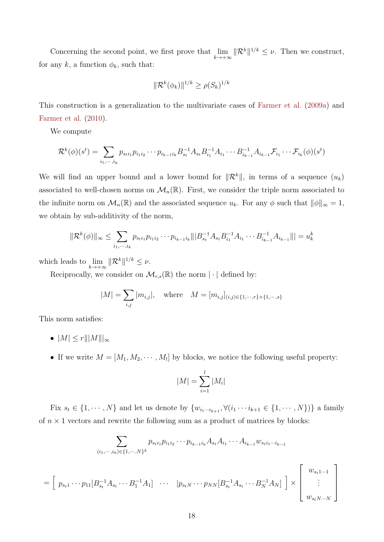Concerning the second point, we first prove that  $\lim_{k\to+\infty} ||\mathcal{R}^k||^{1/k} \leq \nu$ . Then we construct, for any  $k$ , a function  $\phi_k$ , such that:

$$
\|\mathcal{R}^k(\phi_k)\|^{1/k} \ge \rho(S_k)^{1/k}
$$

This construction is a generalization to the multivariate cases of Farmer et al. (2009a) and Farmer et al. (2010).

We compute

$$
\mathcal{R}^{k}(\phi)(s^{t}) = \sum_{i_{1},\cdots,i_{k}} p_{s_{t}i_{1}} p_{i_{1}i_{2}} \cdots p_{i_{k-1}i_{k}} B_{s_{t}}^{-1} A_{s_{t}} B_{i_{1}}^{-1} A_{i_{1}} \cdots B_{i_{k-1}}^{-1} A_{i_{k-1}} \mathcal{F}_{i_{1}} \cdots \mathcal{F}_{i_{k}}(\phi)(s^{t})
$$

We will find an upper bound and a lower bound for  $\|\mathcal{R}^k\|$ , in terms of a sequence  $(u_k)$ associated to well-chosen norms on  $\mathcal{M}_n(\mathbb{R})$ . First, we consider the triple norm associated to the infinite norm on  $\mathcal{M}_n(\mathbb{R})$  and the associated sequence  $u_k$ . For any  $\phi$  such that  $\|\phi\|_{\infty} = 1$ , we obtain by sub-additivity of the norm,

$$
\|\mathcal{R}^{k}(\phi)\|_{\infty} \leq \sum_{i_1,\dots,i_k} p_{s_i i_1} p_{i_1 i_2} \cdots p_{i_{k-1} i_k} \|\|B_{s_i}^{-1} A_{s_i} B_{i_1}^{-1} A_{i_1} \cdots B_{i_{k-1}}^{-1} A_{i_{k-1}}\|\| = u_k^k
$$

which leads to  $\lim_{k \to +\infty} ||\mathcal{R}^k||^{1/k} \leq \nu$ .

Reciprocally, we consider on  $\mathcal{M}_{r,s}(\mathbb{R})$  the norm  $|\cdot|$  defined by:

$$
|M| = \sum_{i,j} |m_{i,j}|, \text{ where } M = [m_{i,j}]_{(i,j)\in\{1,\dots,r\}\times\{1,\dots,s\}}
$$

This norm satisfies:

=

- $|M| \leq r |||M|||_{\infty}$
- If we write  $M = [M_1, M_2, \cdots, M_l]$  by blocks, we notice the following useful property:

$$
|M| = \sum_{i=1}^{l} |M_i|
$$

Fix  $s_t \in \{1, \dots, N\}$  and let us denote by  $\{w_{i_1 \cdots i_{k+1}}, \forall (i_1 \cdots i_{k+1} \in \{1, \dots, N\})\}$  a family of  $n \times 1$  vectors and rewrite the following sum as a product of matrices by blocks:

$$
\sum_{(i_1,\dots,i_k)\in\{1,\dots,N\}^k} p_{s_t i_1} p_{i_1 i_2} \cdots p_{i_{k-1} i_k} A_{s_t} A_{i_1} \cdots A_{i_{k-1}} w_{s_t i_1 \cdots i_{k-1}}
$$
\n
$$
\begin{bmatrix} p_{s_t 1} \cdots p_{11} [B_{s_t}^{-1} A_{s_t} \cdots B_1^{-1} A_1] & \cdots & |p_{s_t N} \cdots p_{N N} [B_{s_t}^{-1} A_{s_t} \cdots B_N^{-1} A_N] \end{bmatrix} \times \begin{bmatrix} w_{s_t 1 \cdots 1} \\ \vdots \\ w_{s_t N \cdots N} \end{bmatrix}
$$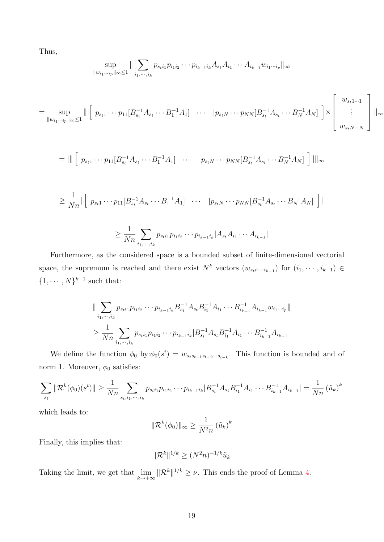Thus,

$$
\sup_{\|w_{i_1\cdots i_p}\|_{\infty}\leq 1} \|\sum_{i_1,\cdots,i_k} p_{s_1i_1}p_{i_1i_2}\cdots p_{i_{k-1}i_k}A_{s_t}A_{i_1}\cdots A_{i_{k-1}}w_{i_1\cdots i_p}\|_{\infty}
$$

$$
= \sup_{\|w_{i_1\cdots i_p}\|_{\infty}\leq 1} \|\left[p_{s_11}\cdots p_{11}[B_{s_1}^{-1}A_{s_1}\cdots B_1^{-1}A_1]\cdots |p_{s_tN}\cdots p_{NN}[B_{s_t}^{-1}A_{s_t}\cdots B_N^{-1}A_N]\right] \times \left[\begin{array}{c}w_{s_t1\cdots 1}\\ \vdots\\ w_{s_tN\cdots N}\end{array}\right]\|_{\infty}
$$

$$
= ||| \left[ p_{s_t 1} \cdots p_{11} [B_{s_t}^{-1} A_{s_t} \cdots B_1^{-1} A_1] \cdots | p_{s_t N} \cdots p_{N N} [B_{s_t}^{-1} A_{s_t} \cdots B_N^{-1} A_N] \right] |||_{\infty}
$$

$$
\geq \frac{1}{Nn} \left[ p_{s_t 1} \cdots p_{11} [B_{s_t}^{-1} A_{s_t} \cdots B_1^{-1} A_1] \cdots p_{s_t N} \cdots p_{N N} [B_{s_t}^{-1} A_{s_t} \cdots B_N^{-1} A_N] \right] \right|
$$

$$
\geq \frac{1}{Nn} \sum_{i_1, \dots, i_k} p_{s_i i_1} p_{i_1 i_2} \cdots p_{i_{k-1} i_k} |A_{s_i} A_{i_1} \cdots A_{i_{k-1}}|
$$

Furthermore, as the considered space is a bounded subset of finite-dimensional vectorial space, the supremum is reached and there exist  $N^k$  vectors  $(w_{s_t i_1\cdots i_{k-1}})$  for  $(i_1, \cdots, i_{k-1})$  $\{1, \cdots, N\}^{k-1}$  such that:

$$
\|\sum_{i_1,\dots,i_k} p_{s_{t}i_1} p_{i_1i_2}\cdots p_{i_{k-1}i_k} B_{s_t}^{-1} A_{s_t} B_{i_1}^{-1} A_{i_1}\cdots B_{i_{k-1}}^{-1} A_{i_{k-1}} w_{i_1\cdots i_p}\|
$$
  

$$
\geq \frac{1}{Nn} \sum_{i_1,\dots,i_k} p_{s_t i_1} p_{i_1 i_2}\cdots p_{i_{k-1}i_k} |B_{s_t}^{-1} A_{s_t} B_{i_1}^{-1} A_{i_1}\cdots B_{i_{k-1}}^{-1} A_{i_{k-1}}|
$$

We define the function  $\phi_0$  by: $\phi_0(s^t) = w_{s_ts_{t-1}s_{t-2}\cdots s_{t-k}}$ . This function is bounded and of norm 1. Moreover,  $\phi_0$  satisfies:

$$
\sum_{s_t} \|\mathcal{R}^k(\phi_0)(s^t)\| \ge \frac{1}{Nn} \sum_{s_t, i_1, \dots, i_k} p_{s_t i_1} p_{i_1 i_2} \cdots p_{i_{k-1} i_k} |B_{s_t}^{-1} A_{s_t} B_{i_1}^{-1} A_{i_1} \cdots B_{i_{k-1}}^{-1} A_{i_{k-1}}| = \frac{1}{Nn} (\tilde{u}_k)^k
$$

which leads to:

$$
\|\mathcal{R}^{k}(\phi_0)\|_{\infty} \ge \frac{1}{N^2 n} \left(\tilde{u}_k\right)^k
$$

Finally, this implies that:

$$
\|\mathcal{R}^k\|^{1/k} \geq (N^2n)^{-1/k}\tilde{u}_k
$$

Taking the limit, we get that  $\lim_{k \to +\infty} ||\mathcal{R}^k||^{1/k} \geq \nu$ . This ends the proof of Lemma 4.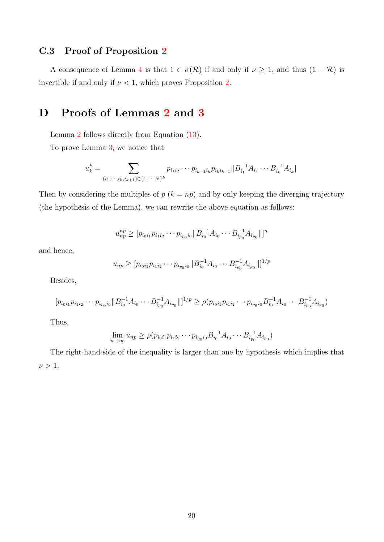#### C.3 Proof of Proposition 2

A consequence of Lemma 4 is that  $1 \in \sigma(\mathcal{R})$  if and only if  $\nu \geq 1$ , and thus  $(1 - \mathcal{R})$  is invertible if and only if  $\nu < 1$ , which proves Proposition 2.

### D Proofs of Lemmas 2 and 3

Lemma 2 follows directly from Equation (13).

To prove Lemma 3, we notice that

$$
u_k^k = \sum_{(i_1,\dots,i_k,i_{k+1}) \in \{1,\dots,N\}^k} p_{i_1 i_2} \cdots p_{i_{k-1} i_k} p_{i_k i_{k+1}} || B_{i_1}^{-1} A_{i_1} \cdots B_{i_k}^{-1} A_{i_k} ||
$$

Then by considering the multiples of  $p$  ( $k = np$ ) and by only keeping the diverging trajectory (the hypothesis of the Lemma), we can rewrite the above equation as follows:

$$
u_{np}^{np} \ge [p_{i_0i_1}p_{i_1i_2}\cdots p_{i_{p_0}i_0}||B_{i_0}^{-1}A_{i_0}\cdots B_{i_{p_0}}^{-1}A_{i_{p_0}}||]^n
$$

and hence,

$$
u_{np} \ge [p_{i_0i_1}p_{i_1i_2}\cdots p_{i_{p_0i_0}}||B_{i_0}^{-1}A_{i_0}\cdots B_{i_{p_0}}^{-1}A_{i_{p_0}}||]^{1/p}
$$

Besides,

$$
[p_{i_0i_1}p_{i_1i_2}\cdots p_{i_{p_0}i_0}\|B_{i_0}^{-1}A_{i_0}\cdots B_{i_{p_0}}^{-1}A_{i_{p_0}}\|]^{1/p} \ge \rho(p_{i_0i_1}p_{i_1i_2}\cdots p_{i_{p_0}i_0}B_{i_0}^{-1}A_{i_0}\cdots B_{i_{p_0}}^{-1}A_{i_{p_0}})
$$

Thus,

$$
\lim_{n \to \infty} u_{np} \ge \rho(p_{i_0 i_1} p_{i_1 i_2} \cdots p_{i_{p_0} i_0} B_{i_0}^{-1} A_{i_0} \cdots B_{i_{p_0}}^{-1} A_{i_{p_0}})
$$

The right-hand-side of the inequality is larger than one by hypothesis which implies that  $\nu > 1$ .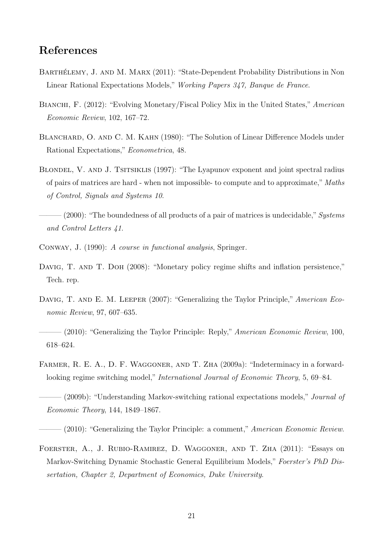### References

- BARTHÉLEMY, J. AND M. MARX (2011): "State-Dependent Probability Distributions in Non Linear Rational Expectations Models," Working Papers 347, Banque de France.
- BIANCHI, F. (2012): "Evolving Monetary/Fiscal Policy Mix in the United States," American Economic Review, 102, 167–72.
- BLANCHARD, O. AND C. M. KAHN (1980): "The Solution of Linear Difference Models under Rational Expectations," Econometrica, 48.
- BLONDEL, V. AND J. TSITSIKLIS (1997): "The Lyapunov exponent and joint spectral radius of pairs of matrices are hard - when not impossible- to compute and to approximate," Maths of Control, Signals and Systems 10.
- $(2000)$ : "The boundedness of all products of a pair of matrices is undecidable," Systems and Control Letters 41.
- Conway, J. (1990): A course in functional analysis, Springer.
- DAVIG, T. AND T. DOH (2008): "Monetary policy regime shifts and inflation persistence," Tech. rep.
- DAVIG, T. AND E. M. LEEPER (2007): "Generalizing the Taylor Principle," American Economic Review, 97, 607–635.
- $-(2010)$ : "Generalizing the Taylor Principle: Reply," American Economic Review, 100, 618–624.
- FARMER, R. E. A., D. F. WAGGONER, AND T. ZHA (2009a): "Indeterminacy in a forwardlooking regime switching model," International Journal of Economic Theory, 5, 69–84.
- $(2009b)$ : "Understanding Markov-switching rational expectations models," *Journal of* Economic Theory, 144, 1849–1867.
- $(2010)$ : "Generalizing the Taylor Principle: a comment," American Economic Review.
- Foerster, A., J. Rubio-Ramirez, D. Waggoner, and T. Zha (2011): "Essays on Markov-Switching Dynamic Stochastic General Equilibrium Models," Foerster's PhD Dissertation, Chapter 2, Department of Economics, Duke University.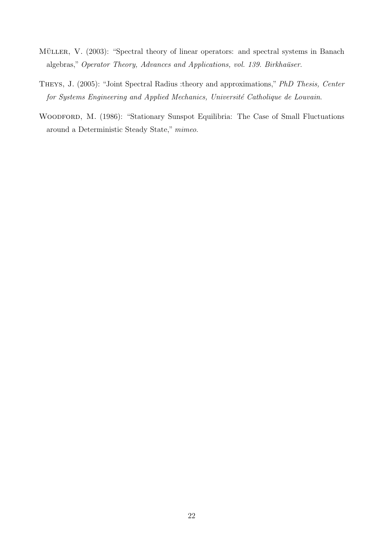- MÜLLER, V. (2003): "Spectral theory of linear operators: and spectral systems in Banach algebras," Operator Theory, Advances and Applications, vol. 139. Birkhaüser.
- Theys, J. (2005): "Joint Spectral Radius :theory and approximations," PhD Thesis, Center for Systems Engineering and Applied Mechanics, Université Catholique de Louvain.
- WOODFORD, M. (1986): "Stationary Sunspot Equilibria: The Case of Small Fluctuations around a Deterministic Steady State," mimeo.